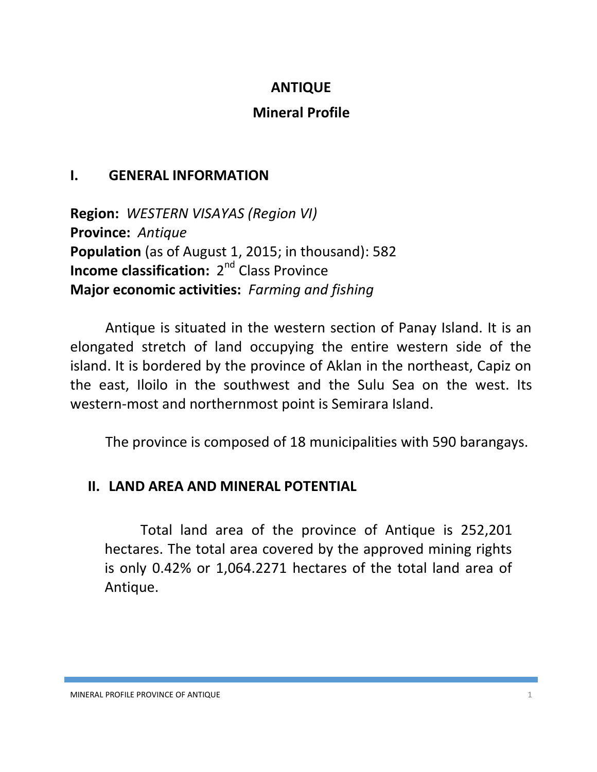## **ANTIQUE**

## **Mineral Profile**

## **I. GENERAL INFORMATION**

**Region:** *WESTERN VISAYAS (Region VI)* **Province:** *Antique* **Population** (as of August 1, 2015; in thousand): 582 **Income classification:** 2<sup>nd</sup> Class Province **Major economic activities:** *Farming and fishing*

Antique is situated in the western section of Panay Island. It is an elongated stretch of land occupying the entire western side of the island. It is bordered by the province of Aklan in the northeast, Capiz on the east, Iloilo in the southwest and the Sulu Sea on the west. Its western-most and northernmost point is Semirara Island.

The province is composed of 18 municipalities with 590 barangays.

## **II. LAND AREA AND MINERAL POTENTIAL**

Total land area of the province of Antique is 252,201 hectares. The total area covered by the approved mining rights is only 0.42% or 1,064.2271 hectares of the total land area of Antique.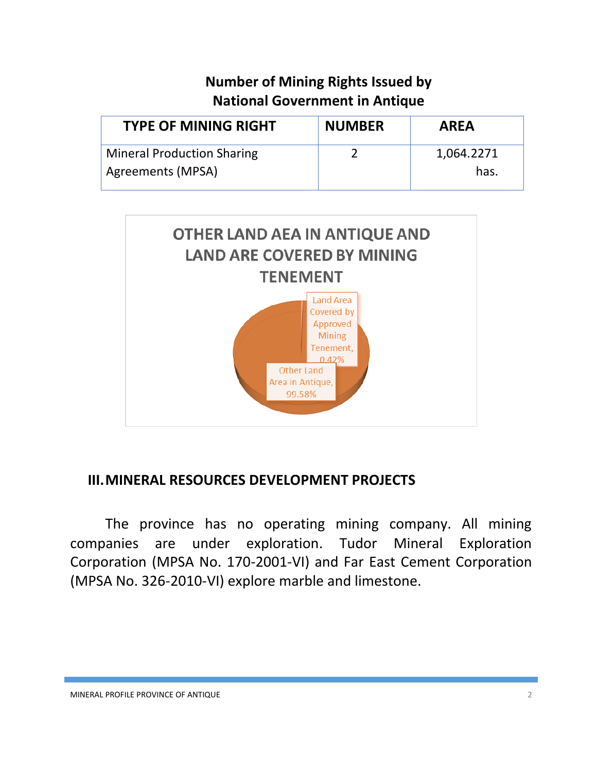# **Number of Mining Rights Issued by National Government in Antique**

| <b>TYPE OF MINING RIGHT</b>       | <b>NUMBER</b> | <b>AREA</b> |
|-----------------------------------|---------------|-------------|
| <b>Mineral Production Sharing</b> |               | 1,064.2271  |
| Agreements (MPSA)                 |               | has.        |



## **III.MINERAL RESOURCES DEVELOPMENT PROJECTS**

The province has no operating mining company. All mining companies are under exploration. Tudor Mineral Exploration Corporation (MPSA No. 170-2001-VI) and Far East Cement Corporation (MPSA No. 326-2010-VI) explore marble and limestone.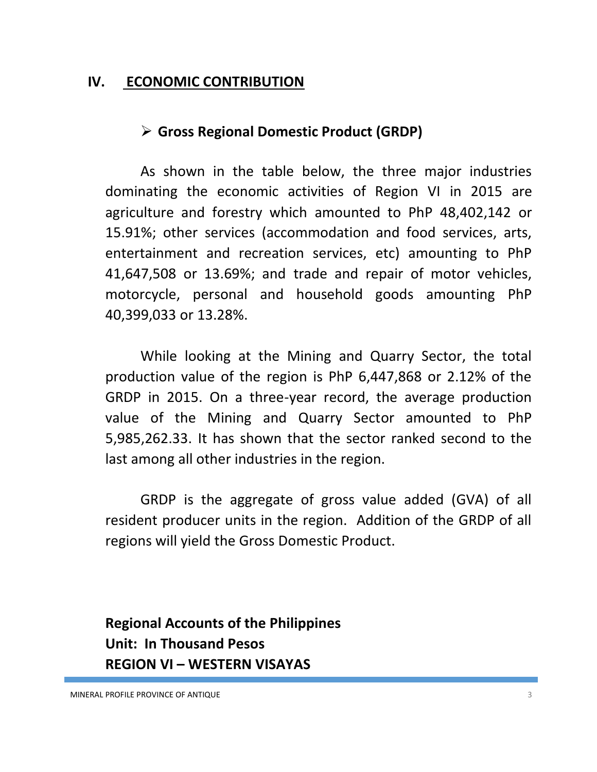#### **IV. ECONOMIC CONTRIBUTION**

## **Gross Regional Domestic Product (GRDP)**

As shown in the table below, the three major industries dominating the economic activities of Region VI in 2015 are agriculture and forestry which amounted to PhP 48,402,142 or 15.91%; other services (accommodation and food services, arts, entertainment and recreation services, etc) amounting to PhP 41,647,508 or 13.69%; and trade and repair of motor vehicles, motorcycle, personal and household goods amounting PhP 40,399,033 or 13.28%.

While looking at the Mining and Quarry Sector, the total production value of the region is PhP 6,447,868 or 2.12% of the GRDP in 2015. On a three-year record, the average production value of the Mining and Quarry Sector amounted to PhP 5,985,262.33. It has shown that the sector ranked second to the last among all other industries in the region.

GRDP is the aggregate of gross value added (GVA) of all resident producer units in the region. Addition of the GRDP of all regions will yield the Gross Domestic Product.

**Regional Accounts of the Philippines Unit: In Thousand Pesos REGION VI – WESTERN VISAYAS**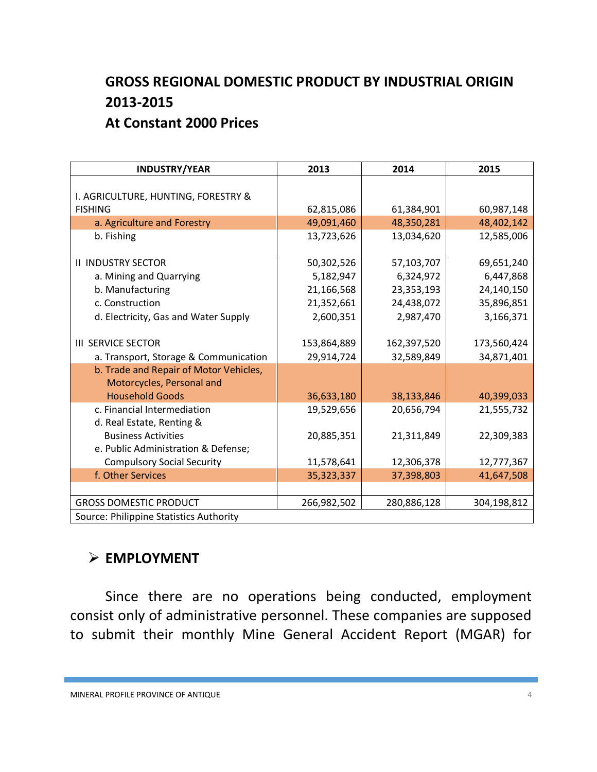# **GROSS REGIONAL DOMESTIC PRODUCT BY INDUSTRIAL ORIGIN 2013-2015 At Constant 2000 Prices**

| <b>INDUSTRY/YEAR</b>                    | 2013        | 2014        | 2015        |
|-----------------------------------------|-------------|-------------|-------------|
|                                         |             |             |             |
| I. AGRICULTURE, HUNTING, FORESTRY &     |             |             |             |
| <b>FISHING</b>                          | 62,815,086  | 61,384,901  | 60,987,148  |
| a. Agriculture and Forestry             | 49,091,460  | 48,350,281  | 48,402,142  |
| b. Fishing                              | 13,723,626  | 13,034,620  | 12,585,006  |
|                                         |             |             |             |
| <b>II INDUSTRY SECTOR</b>               | 50,302,526  | 57,103,707  | 69,651,240  |
| a. Mining and Quarrying                 | 5,182,947   | 6,324,972   | 6,447,868   |
| b. Manufacturing                        | 21,166,568  | 23,353,193  | 24,140,150  |
| c. Construction                         | 21,352,661  | 24,438,072  | 35,896,851  |
| d. Electricity, Gas and Water Supply    | 2,600,351   | 2,987,470   | 3,166,371   |
|                                         |             |             |             |
| <b>III SERVICE SECTOR</b>               | 153,864,889 | 162,397,520 | 173,560,424 |
| a. Transport, Storage & Communication   | 29,914,724  | 32,589,849  | 34,871,401  |
| b. Trade and Repair of Motor Vehicles,  |             |             |             |
| Motorcycles, Personal and               |             |             |             |
| <b>Household Goods</b>                  | 36,633,180  | 38,133,846  | 40,399,033  |
| c. Financial Intermediation             | 19,529,656  | 20,656,794  | 21,555,732  |
| d. Real Estate, Renting &               |             |             |             |
| <b>Business Activities</b>              | 20,885,351  | 21,311,849  | 22,309,383  |
| e. Public Administration & Defense;     |             |             |             |
| <b>Compulsory Social Security</b>       | 11,578,641  | 12,306,378  | 12,777,367  |
| f. Other Services                       | 35,323,337  | 37,398,803  | 41,647,508  |
|                                         |             |             |             |
| <b>GROSS DOMESTIC PRODUCT</b>           | 266,982,502 | 280,886,128 | 304,198,812 |
| Source: Philippine Statistics Authority |             |             |             |

## **EMPLOYMENT**

Since there are no operations being conducted, employment consist only of administrative personnel. These companies are supposed to submit their monthly Mine General Accident Report (MGAR) for